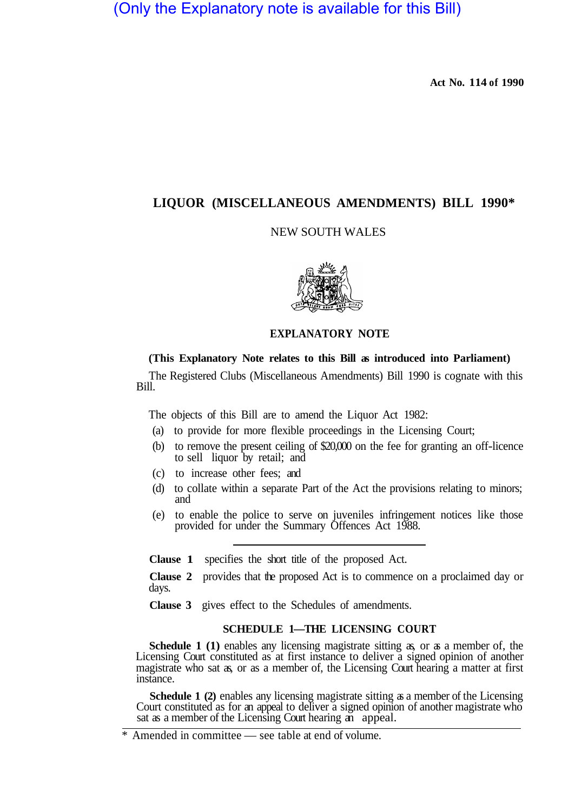(Only the Explanatory note is available for this Bill)

**Act No. 114 of 1990** 

# **LIQUOR (MISCELLANEOUS AMENDMENTS) BILL 1990\***

# NEW SOUTH WALES



# **EXPLANATORY NOTE**

# **(This Explanatory Note relates to this Bill as introduced into Parliament)**

The Registered Clubs (Miscellaneous Amendments) Bill 1990 is cognate with this Bill.

The objects of this Bill are to amend the Liquor Act 1982:

- (a) to provide for more flexible proceedings in the Licensing Court;
- (b) to remove the present ceiling of \$20,000 on the fee for granting an off-licence to sell liquor by retail; and
- (c) to increase other fees; and
- (d) to collate within a separate Part of the Act the provisions relating to minors; and
- (e) to enable the police to serve on juveniles infringement notices like those provided for under the Summary Offences Act 1988.

**Clause 1** specifies the short title of the proposed Act.

**Clause 2** provides that the proposed Act is to commence on a proclaimed day or days.

**Clause 3** gives effect to the Schedules of amendments.

## **SCHEDULE 1—THE LICENSING COURT**

**Schedule 1 (1)** enables any licensing magistrate sitting as, or as a member of, the Licensing Court constituted as at first instance to deliver a signed opinion of another magistrate who sat as, or as a member of, the Licensing Court hearing a matter at first instance.

**Schedule 1 (2)** enables any licensing magistrate sitting as a member of the Licensing Court constituted as for an appeal to deliver a signed opinion of another magistrate who sat as a member of the Licensing Court hearing an appeal.

<sup>\*</sup> Amended in committee — see table at end of volume.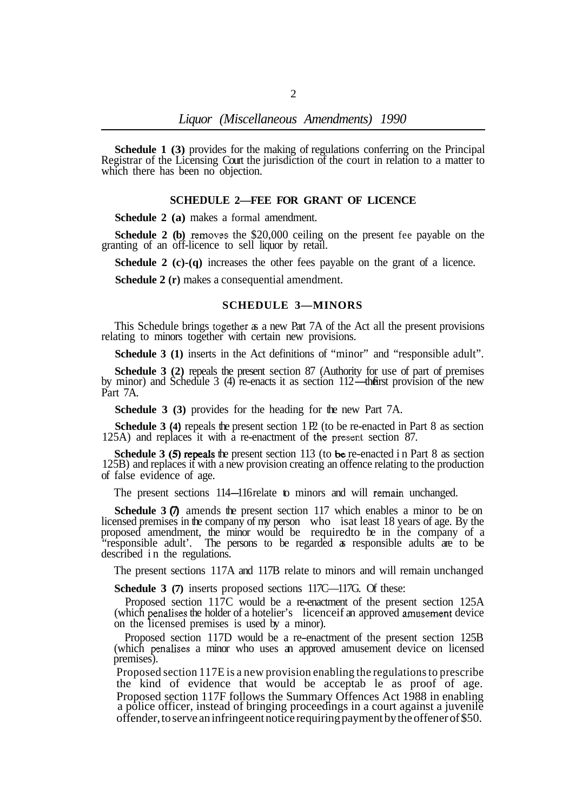**Schedule 1 (3)** provides for the making of regulations conferring on the Principal Registrar of the Licensing Court the jurisdiction of the court in relation to a matter to which there has been no objection.

#### **SCHEDULE 2—FEE FOR GRANT OF LICENCE**

**Schedule 2 (a)** makes a formal amendment.

**Schedule 2 (b)** removes the \$20,000 ceiling on the present fee payable on the granting of an off-licence to sell liquor by retail.

**Schedule 2 (c)-(q)** increases the other fees payable on the grant of a licence.

**Schedule 2 (r)** makes a consequential amendment.

#### **SCHEDULE 3—MINORS**

This Schedule brings together as a new Part 7A of the Act all the present provisions relating to minors together with certain new provisions.

**Schedule 3 (1)** inserts in the Act definitions of "minor" and "responsible adult".

**Schedule 3 (2)** repeals the present section 87 (Authority for use of part of premises by minor) and Schedule 3 (4) re-enacts it as section 112—the first provision of the new Part 7A.

**Schedule 3 (3)** provides for the heading for the new Part 7A.

**Schedule 3 (4)** repeals the present section 1 P2 (to be re-enacted in Part 8 as section 125A) and replaces it with a re-enactment of the present section 87.

**Schedule 3 (5) repeals the present section 113 (to be re-enacted in Part 8 as section** 125B) and replaces it with a new provision creating an offence relating to the production of false evidence of age.

The present sections 114-116 relate to minors and will remain unchanged.

**Schedule 3**  $\overline{q}$  amends the present section 117 which enables a minor to be on licensed premises in the company of my person who isat least 18 years of age. By the proposed amendment, the minor would be requiredto be in the company of a "responsible adult'. The persons to be regarded as responsible adults are to be described in the regulations.

The present sections 117A and 117B relate to minors and will remain unchanged

**Schedule 3 (7)** inserts proposed sections 117C—117G. Of these:

(which penalises the holder of a hotelier's licenceif an approved amusement device on the licensed premises is used by a minor). Proposed section 117C would be a re-enactment of the present section 125A

Proposed section 117D would be a re-enactment of the present section 125B (which penalises a minor who uses an approved amusement device on licensed premises).

Proposed section 117E is a new provision enabling the regulations to prescribe the kind of evidence that would be acceptab le as proof of age. Proposed section 117F follows the Summary Offences Act 1988 in enabling a police officer, instead of bringing proceedings in a court against a juvenile offender, to serve an infringeent notice requiring payment by the offener of \$50.